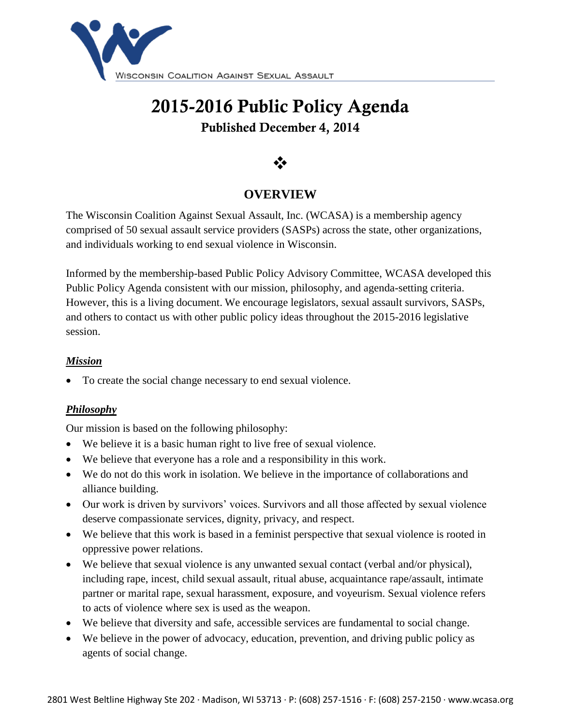

# **2015-2016 Public Policy Agenda Published December 4, 2014**

# $\ddot{\cdot}$

## **OVERVIEW**

The Wisconsin Coalition Against Sexual Assault, Inc. (WCASA) is a membership agency comprised of 50 sexual assault service providers (SASPs) across the state, other organizations, and individuals working to end sexual violence in Wisconsin.

Informed by the membership-based Public Policy Advisory Committee, WCASA developed this Public Policy Agenda consistent with our mission, philosophy, and agenda-setting criteria. However, this is a living document. We encourage legislators, sexual assault survivors, SASPs, and others to contact us with other public policy ideas throughout the 2015-2016 legislative session.

#### *Mission*

To create the social change necessary to end sexual violence.

#### *Philosophy*

Our mission is based on the following philosophy:

- We believe it is a basic human right to live free of sexual violence.
- We believe that everyone has a role and a responsibility in this work.
- We do not do this work in isolation. We believe in the importance of collaborations and alliance building.
- Our work is driven by survivors' voices. Survivors and all those affected by sexual violence deserve compassionate services, dignity, privacy, and respect.
- We believe that this work is based in a feminist perspective that sexual violence is rooted in oppressive power relations.
- We believe that sexual violence is any unwanted sexual contact (verbal and/or physical), including rape, incest, child sexual assault, ritual abuse, acquaintance rape/assault, intimate partner or marital rape, sexual harassment, exposure, and voyeurism. Sexual violence refers to acts of violence where sex is used as the weapon.
- We believe that diversity and safe, accessible services are fundamental to social change.
- We believe in the power of advocacy, education, prevention, and driving public policy as agents of social change.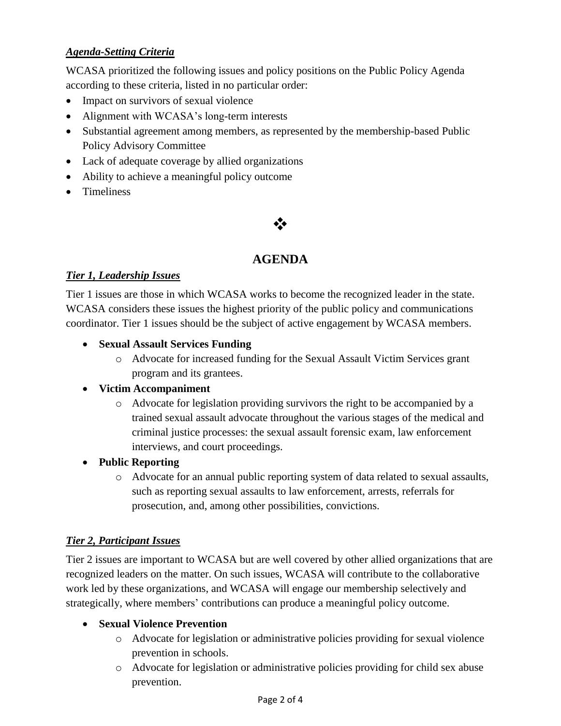#### *Agenda-Setting Criteria*

WCASA prioritized the following issues and policy positions on the Public Policy Agenda according to these criteria, listed in no particular order:

- Impact on survivors of sexual violence
- Alignment with WCASA's long-term interests
- Substantial agreement among members, as represented by the membership-based Public Policy Advisory Committee
- Lack of adequate coverage by allied organizations
- Ability to achieve a meaningful policy outcome
- **•** Timeliness

## $\frac{1}{2}$

## **AGENDA**

#### *Tier 1, Leadership Issues*

Tier 1 issues are those in which WCASA works to become the recognized leader in the state. WCASA considers these issues the highest priority of the public policy and communications coordinator. Tier 1 issues should be the subject of active engagement by WCASA members.

- **Sexual Assault Services Funding**
	- o Advocate for increased funding for the Sexual Assault Victim Services grant program and its grantees.
- **Victim Accompaniment**
	- o Advocate for legislation providing survivors the right to be accompanied by a trained sexual assault advocate throughout the various stages of the medical and criminal justice processes: the sexual assault forensic exam, law enforcement interviews, and court proceedings.
- **Public Reporting**
	- o Advocate for an annual public reporting system of data related to sexual assaults, such as reporting sexual assaults to law enforcement, arrests, referrals for prosecution, and, among other possibilities, convictions.

#### *Tier 2, Participant Issues*

Tier 2 issues are important to WCASA but are well covered by other allied organizations that are recognized leaders on the matter. On such issues, WCASA will contribute to the collaborative work led by these organizations, and WCASA will engage our membership selectively and strategically, where members' contributions can produce a meaningful policy outcome.

#### **Sexual Violence Prevention**

- o Advocate for legislation or administrative policies providing for sexual violence prevention in schools.
- o Advocate for legislation or administrative policies providing for child sex abuse prevention.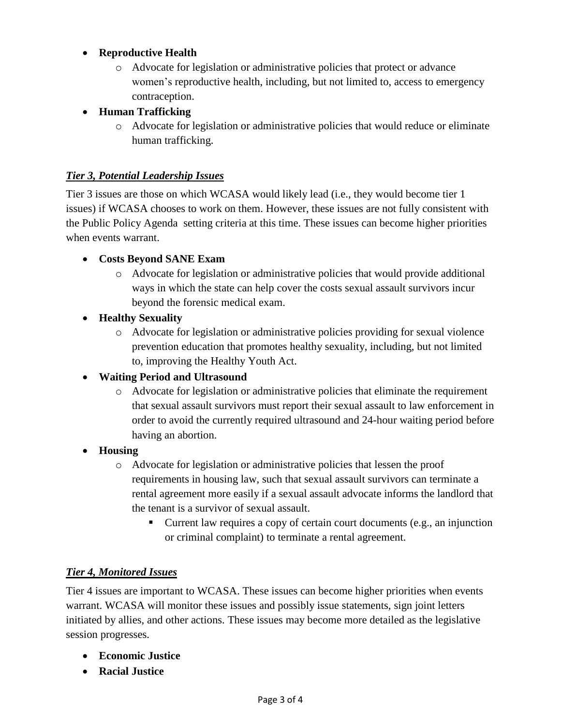#### **Reproductive Health**

o Advocate for legislation or administrative policies that protect or advance women's reproductive health, including, but not limited to, access to emergency contraception.

#### **Human Trafficking**

o Advocate for legislation or administrative policies that would reduce or eliminate human trafficking.

#### *Tier 3, Potential Leadership Issues*

Tier 3 issues are those on which WCASA would likely lead (i.e., they would become tier 1 issues) if WCASA chooses to work on them. However, these issues are not fully consistent with the Public Policy Agenda setting criteria at this time. These issues can become higher priorities when events warrant.

#### **Costs Beyond SANE Exam**

o Advocate for legislation or administrative policies that would provide additional ways in which the state can help cover the costs sexual assault survivors incur beyond the forensic medical exam.

#### **Healthy Sexuality**

o Advocate for legislation or administrative policies providing for sexual violence prevention education that promotes healthy sexuality, including, but not limited to, improving the Healthy Youth Act.

#### **Waiting Period and Ultrasound**

o Advocate for legislation or administrative policies that eliminate the requirement that sexual assault survivors must report their sexual assault to law enforcement in order to avoid the currently required ultrasound and 24-hour waiting period before having an abortion.

#### **Housing**

- o Advocate for legislation or administrative policies that lessen the proof requirements in housing law, such that sexual assault survivors can terminate a rental agreement more easily if a sexual assault advocate informs the landlord that the tenant is a survivor of sexual assault.
	- Current law requires a copy of certain court documents (e.g., an injunction or criminal complaint) to terminate a rental agreement.

#### *Tier 4, Monitored Issues*

Tier 4 issues are important to WCASA. These issues can become higher priorities when events warrant. WCASA will monitor these issues and possibly issue statements, sign joint letters initiated by allies, and other actions. These issues may become more detailed as the legislative session progresses.

- **Economic Justice**
- **Racial Justice**